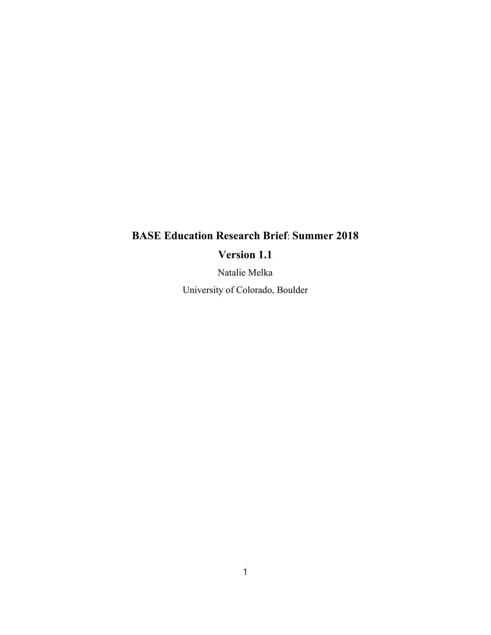# **BASE Education Research Brief**: **Summer 2018**

# **Version 1.1**

Natalie Melka

University of Colorado, Boulder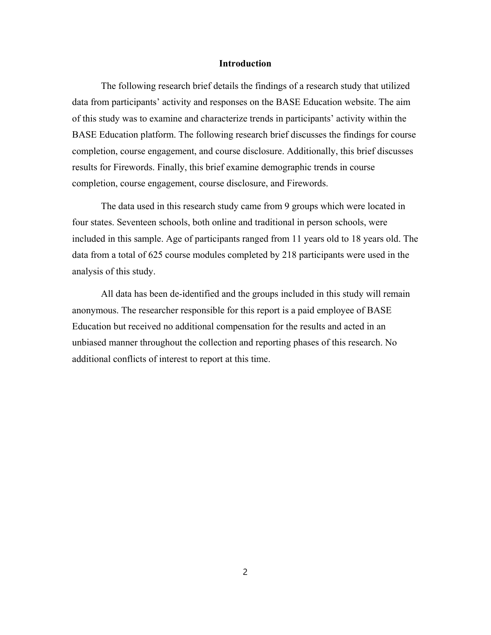#### **Introduction**

The following research brief details the findings of a research study that utilized data from participants' activity and responses on the BASE Education website. The aim of this study was to examine and characterize trends in participants' activity within the BASE Education platform. The following research brief discusses the findings for course completion, course engagement, and course disclosure. Additionally, this brief discusses results for Firewords. Finally, this brief examine demographic trends in course completion, course engagement, course disclosure, and Firewords.

The data used in this research study came from 9 groups which were located in four states. Seventeen schools, both online and traditional in person schools, were included in this sample. Age of participants ranged from 11 years old to 18 years old. The data from a total of 625 course modules completed by 218 participants were used in the analysis of this study.

All data has been de-identified and the groups included in this study will remain anonymous. The researcher responsible for this report is a paid employee of BASE Education but received no additional compensation for the results and acted in an unbiased manner throughout the collection and reporting phases of this research. No additional conflicts of interest to report at this time.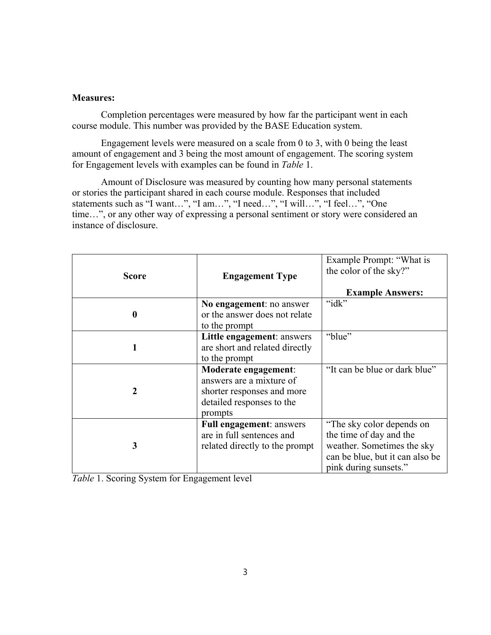# **Measures:**

Completion percentages were measured by how far the participant went in each course module. This number was provided by the BASE Education system.

Engagement levels were measured on a scale from 0 to 3, with 0 being the least amount of engagement and 3 being the most amount of engagement. The scoring system for Engagement levels with examples can be found in *Table* 1.

Amount of Disclosure was measured by counting how many personal statements or stories the participant shared in each course module. Responses that included statements such as "I want…", "I am…", "I need…", "I will…", "I feel…", "One time…", or any other way of expressing a personal sentiment or story were considered an instance of disclosure.

| <b>Score</b>     | <b>Engagement Type</b>                                                                                                 | Example Prompt: "What is<br>the color of the sky?"<br><b>Example Answers:</b>                                                                  |
|------------------|------------------------------------------------------------------------------------------------------------------------|------------------------------------------------------------------------------------------------------------------------------------------------|
| $\boldsymbol{0}$ | No engagement: no answer<br>or the answer does not relate<br>to the prompt                                             | " $idx"$                                                                                                                                       |
| 1                | Little engagement: answers<br>are short and related directly<br>to the prompt                                          | "blue"                                                                                                                                         |
| $\boldsymbol{2}$ | Moderate engagement:<br>answers are a mixture of<br>shorter responses and more<br>detailed responses to the<br>prompts | "It can be blue or dark blue"                                                                                                                  |
| 3                | <b>Full engagement: answers</b><br>are in full sentences and<br>related directly to the prompt                         | "The sky color depends on<br>the time of day and the<br>weather. Sometimes the sky<br>can be blue, but it can also be<br>pink during sunsets." |

*Table* 1. Scoring System for Engagement level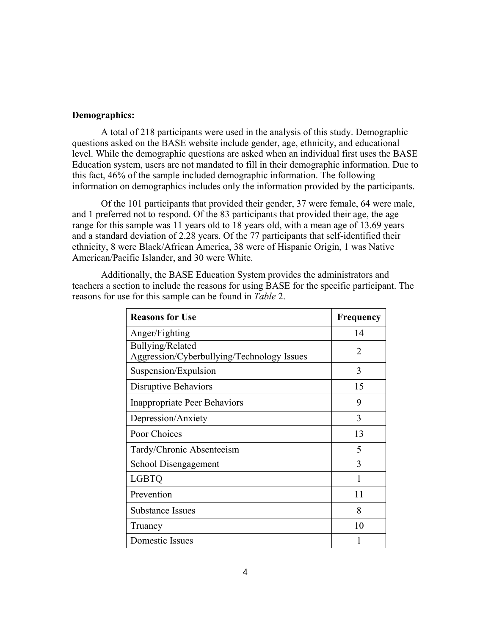# **Demographics:**

A total of 218 participants were used in the analysis of this study. Demographic questions asked on the BASE website include gender, age, ethnicity, and educational level. While the demographic questions are asked when an individual first uses the BASE Education system, users are not mandated to fill in their demographic information. Due to this fact, 46% of the sample included demographic information. The following information on demographics includes only the information provided by the participants.

Of the 101 participants that provided their gender, 37 were female, 64 were male, and 1 preferred not to respond. Of the 83 participants that provided their age, the age range for this sample was 11 years old to 18 years old, with a mean age of 13.69 years and a standard deviation of 2.28 years. Of the 77 participants that self-identified their ethnicity, 8 were Black/African America, 38 were of Hispanic Origin, 1 was Native American/Pacific Islander, and 30 were White.

| <b>Reasons for Use</b>                                         | <b>Frequency</b> |  |
|----------------------------------------------------------------|------------------|--|
| Anger/Fighting                                                 | 14               |  |
| Bullying/Related<br>Aggression/Cyberbullying/Technology Issues | 2                |  |
| Suspension/Expulsion                                           | 3                |  |
| <b>Disruptive Behaviors</b>                                    | 15               |  |
| <b>Inappropriate Peer Behaviors</b>                            | 9                |  |
| Depression/Anxiety                                             | 3                |  |
| Poor Choices                                                   | 13               |  |
| Tardy/Chronic Absenteeism                                      | 5                |  |
| School Disengagement                                           | 3                |  |
| <b>LGBTQ</b>                                                   |                  |  |
| Prevention                                                     | 11               |  |
| Substance Issues                                               | 8                |  |
| Truancy                                                        | 10               |  |
| <b>Domestic Issues</b>                                         |                  |  |

Additionally, the BASE Education System provides the administrators and teachers a section to include the reasons for using BASE for the specific participant. The reasons for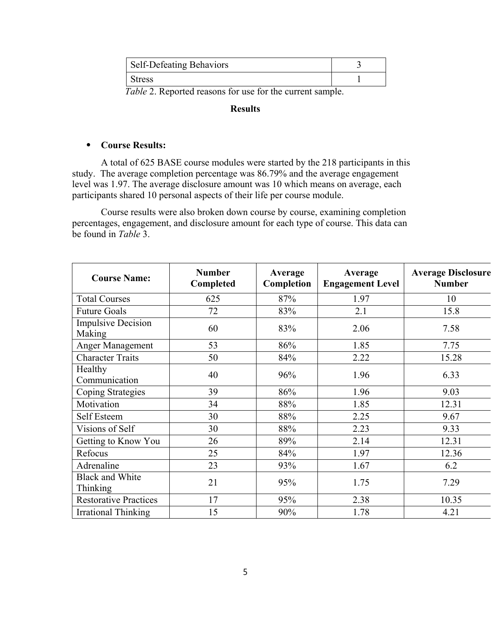| Stress |  |
|--------|--|

 *Table* 2. Reported reasons for use for the current sample.

# **Results**

# ⦁ **Course Results:**

A total of 625 BASE course modules were started by the 218 participants in this study. The average completion percentage was 86.79% and the average engagement level was 1.97. The average disclosure amount was 10 which means on average, each participants shared 10 personal aspects of their life per course module.

Course results were also broken down course by course, examining completion percentages, engagement, and disclosure amount for each type of course. This data can be found in *Table* 3.

| <b>Course Name:</b>                 | <b>Number</b><br>Completed | Average<br>Completion | Average<br><b>Engagement Level</b> | <b>Average Disclosure</b><br><b>Number</b> |  |
|-------------------------------------|----------------------------|-----------------------|------------------------------------|--------------------------------------------|--|
| <b>Total Courses</b>                | 625                        | 87%                   | 1.97                               | 10                                         |  |
| <b>Future Goals</b>                 | 72                         | 83%                   | 2.1                                | 15.8                                       |  |
| <b>Impulsive Decision</b><br>Making | 60                         | 83%                   | 2.06                               | 7.58                                       |  |
| <b>Anger Management</b>             | 53                         | 86%                   | 1.85                               | 7.75                                       |  |
| <b>Character Traits</b>             | 50                         | 84%                   | 2.22                               | 15.28                                      |  |
| Healthy<br>Communication            | 40                         | 96%                   | 1.96                               | 6.33                                       |  |
| Coping Strategies                   | 39                         | 86%                   | 1.96                               | 9.03                                       |  |
| Motivation                          | 34                         | 88%                   | 1.85                               | 12.31                                      |  |
| Self Esteem                         | 30                         | 88%                   | 2.25                               | 9.67                                       |  |
| Visions of Self                     | 30                         | 88%                   | 2.23                               | 9.33                                       |  |
| Getting to Know You                 | 26                         | 89%                   | 2.14                               | 12.31                                      |  |
| Refocus                             | 25                         | 84%                   | 1.97                               | 12.36                                      |  |
| Adrenaline                          | 23                         | 93%                   | 1.67                               | 6.2                                        |  |
| <b>Black and White</b><br>Thinking  | 21                         | 95%                   | 1.75                               | 7.29                                       |  |
| <b>Restorative Practices</b>        | 17                         | 95%                   | 2.38                               | 10.35                                      |  |
| <b>Irrational Thinking</b>          | 15                         | 90%                   | 1.78                               | 4.21                                       |  |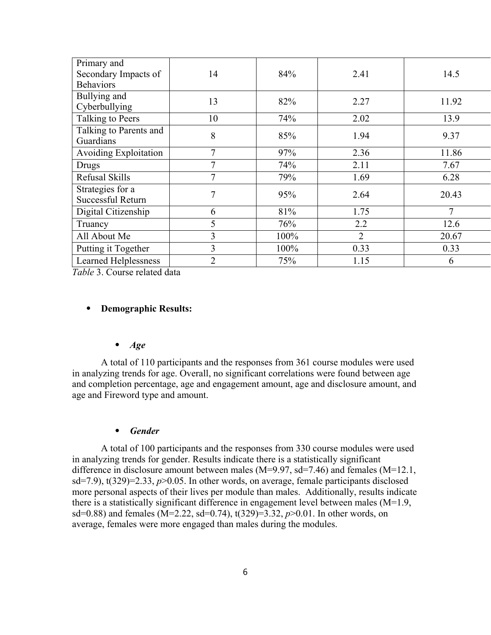| Primary and                  |                |      |                |                |  |
|------------------------------|----------------|------|----------------|----------------|--|
| Secondary Impacts of         | 14             | 84%  | 2.41           | 14.5           |  |
| <b>Behaviors</b>             |                |      |                |                |  |
| Bullying and                 | 13             | 82%  | 2.27           | 11.92          |  |
| Cyberbullying                |                |      |                |                |  |
| Talking to Peers             | 10             | 74%  | 2.02           | 13.9           |  |
| Talking to Parents and       | 8              | 85%  | 1.94           | 9.37           |  |
| Guardians                    |                |      |                |                |  |
| <b>Avoiding Exploitation</b> | 7              | 97%  | 2.36           | 11.86          |  |
| Drugs                        | 7              | 74%  | 2.11           | 7.67           |  |
| Refusal Skills               | 7              | 79%  | 1.69           | 6.28           |  |
| Strategies for a             | $\overline{7}$ | 95%  | 2.64           |                |  |
| Successful Return            |                |      |                | 20.43          |  |
| Digital Citizenship          | 6              | 81%  | 1.75           | $\overline{7}$ |  |
| Truancy                      | 5              | 76%  | 2.2            | 12.6           |  |
| All About Me                 | 3              | 100% | $\overline{2}$ | 20.67          |  |
| Putting it Together          | 3              | 100% | 0.33           | 0.33           |  |
| <b>Learned Helplessness</b>  | $\overline{2}$ | 75%  | 1.15           | 6              |  |

*Table* 3. Course related data

# ⦁ **Demographic Results:**

#### ⦁ *Age*

A total of 110 participants and the responses from 361 course modules were used in analyzing trends for age. Overall, no significant correlations were found between age and completion percentage, age and engagement amount, age and disclosure amount, and age and Fireword type and amount.

#### ⦁ *Gender*

A total of 100 participants and the responses from 330 course modules were used in analyzing trends for gender. Results indicate there is a statistically significant difference in disclosure amount between males (M=9.97, sd=7.46) and females (M=12.1, sd=7.9),  $t(329)=2.33$ ,  $p>0.05$ . In other words, on average, female participants disclosed more personal aspects of their lives per module than males. Additionally, results indicate there is a statistically significant difference in engagement level between males (M=1.9, sd=0.88) and females (M=2.22, sd=0.74), t(329)=3.32, *p*>0.01. In other words, on average, females were more engaged than males during the modules.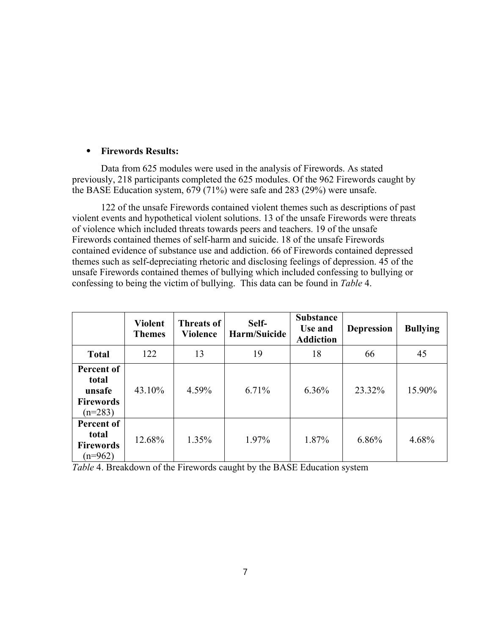# ⦁ **Firewords Results:**

Data from 625 modules were used in the analysis of Firewords. As stated previously, 218 participants completed the 625 modules. Of the 962 Firewords caught by the BASE Education system, 679 (71%) were safe and 283 (29%) were unsafe.

122 of the unsafe Firewords contained violent themes such as descriptions of past violent events and hypothetical violent solutions. 13 of the unsafe Firewords were threats of violence which included threats towards peers and teachers. 19 of the unsafe Firewords contained themes of self-harm and suicide. 18 of the unsafe Firewords contained evidence of substance use and addiction. 66 of Firewords contained depressed themes such as self-depreciating rhetoric and disclosing feelings of depression. 45 of the unsafe Firewords contained themes of bullying which included confessing to bullying or confessing to being the victim of bullying. This data can be found in *Table* 4.

|                                                                | <b>Violent</b><br><b>Themes</b> | <b>Threats of</b><br><b>Violence</b> | Self-<br>Harm/Suicide | <b>Substance</b><br>Use and<br><b>Addiction</b> | <b>Depression</b> | <b>Bullying</b> |
|----------------------------------------------------------------|---------------------------------|--------------------------------------|-----------------------|-------------------------------------------------|-------------------|-----------------|
| <b>Total</b>                                                   | 122                             | 13                                   | 19                    | 18                                              | 66                | 45              |
| Percent of<br>total<br>unsafe<br><b>Firewords</b><br>$(n=283)$ | 43.10%                          | 4.59%                                | 6.71%                 | 6.36%                                           | 23.32%            | 15.90%          |
| Percent of<br>total<br><b>Firewords</b><br>$(n=962)$           | 12.68%                          | 1.35%                                | 1.97%                 | 1.87%                                           | 6.86%             | 4.68%           |

*Table* 4. Breakdown of the Firewords caught by the BASE Education system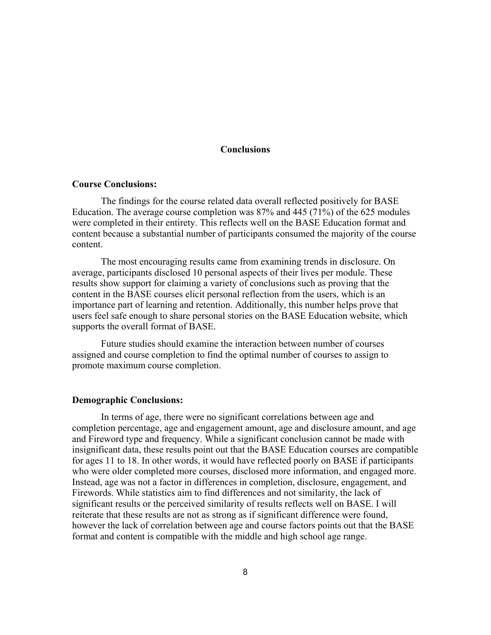# **Conclusions**

#### **Course Conclusions:**

The findings for the course related data overall reflected positively for BASE Education. The average course completion was 87% and 445 (71%) of the 625 modules were completed in their entirety. This reflects well on the BASE Education format and content because a substantial number of participants consumed the majority of the course content.

The most encouraging results came from examining trends in disclosure. On average, participants disclosed 10 personal aspects of their lives per module. These results show support for claiming a variety of conclusions such as proving that the content in the BASE courses elicit personal reflection from the users, which is an importance part of learning and retention. Additionally, this number helps prove that users feel safe enough to share personal stories on the BASE Education website, which supports the overall format of BASE.

Future studies should examine the interaction between number of courses assigned and course completion to find the optimal number of courses to assign to promote maximum course completion.

#### **Demographic Conclusions:**

In terms of age, there were no significant correlations between age and completion percentage, age and engagement amount, age and disclosure amount, and age and Fireword type and frequency. While a significant conclusion cannot be made with insignificant data, these results point out that the BASE Education courses are compatible for ages 11 to 18. In other words, it would have reflected poorly on BASE if participants who were older completed more courses, disclosed more information, and engaged more. Instead, age was not a factor in differences in completion, disclosure, engagement, and Firewords. While statistics aim to find differences and not similarity, the lack of significant results or the perceived similarity of results reflects well on BASE. I will reiterate that these results are not as strong as if significant difference were found, however the lack of correlation between age and course factors points out that the BASE format and content is compatible with the middle and high school age range.